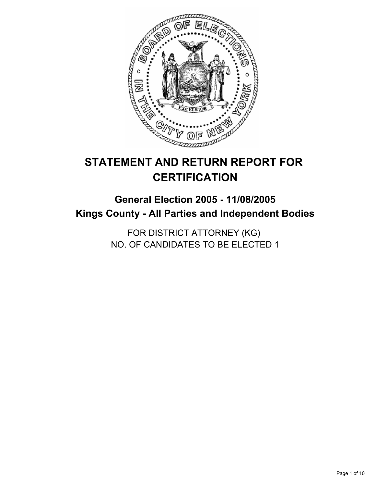

# **STATEMENT AND RETURN REPORT FOR CERTIFICATION**

# **General Election 2005 - 11/08/2005 Kings County - All Parties and Independent Bodies**

FOR DISTRICT ATTORNEY (KG) NO. OF CANDIDATES TO BE ELECTED 1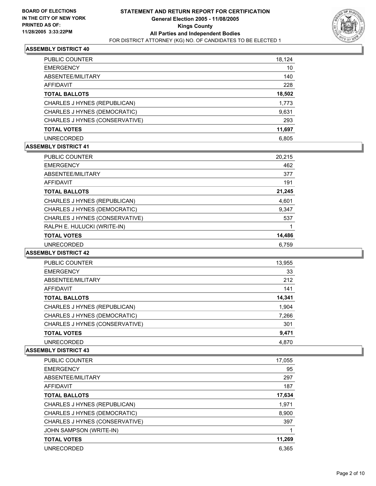

| PUBLIC COUNTER                 | 18,124 |  |
|--------------------------------|--------|--|
| <b>EMERGENCY</b>               | 10     |  |
| ABSENTEE/MILITARY              | 140    |  |
| AFFIDAVIT                      | 228    |  |
| <b>TOTAL BALLOTS</b>           | 18,502 |  |
| CHARLES J HYNES (REPUBLICAN)   | 1,773  |  |
| CHARLES J HYNES (DEMOCRATIC)   | 9,631  |  |
| CHARLES J HYNES (CONSERVATIVE) | 293    |  |
| <b>TOTAL VOTES</b>             | 11,697 |  |
| <b>UNRECORDED</b>              | 6.805  |  |

### **ASSEMBLY DISTRICT 41**

| <b>PUBLIC COUNTER</b>          | 20.215 |
|--------------------------------|--------|
| <b>EMERGENCY</b>               | 462    |
| ABSENTEE/MILITARY              | 377    |
| AFFIDAVIT                      | 191    |
| <b>TOTAL BALLOTS</b>           | 21,245 |
| CHARLES J HYNES (REPUBLICAN)   | 4,601  |
| CHARLES J HYNES (DEMOCRATIC)   | 9,347  |
| CHARLES J HYNES (CONSERVATIVE) | 537    |
| RALPH E. HULUCKI (WRITE-IN)    |        |
| <b>TOTAL VOTES</b>             | 14,486 |
| <b>UNRECORDED</b>              | 6.759  |

## **ASSEMBLY DISTRICT 42**

| <b>PUBLIC COUNTER</b>          | 13,955 |
|--------------------------------|--------|
| <b>EMERGENCY</b>               | 33     |
| ABSENTEE/MILITARY              | 212    |
| AFFIDAVIT                      | 141    |
| <b>TOTAL BALLOTS</b>           | 14,341 |
| CHARLES J HYNES (REPUBLICAN)   | 1,904  |
| CHARLES J HYNES (DEMOCRATIC)   | 7,266  |
| CHARLES J HYNES (CONSERVATIVE) | 301    |
| <b>TOTAL VOTES</b>             | 9,471  |
| <b>UNRECORDED</b>              | 4,870  |

| <b>PUBLIC COUNTER</b>          | 17,055 |
|--------------------------------|--------|
| <b>EMERGENCY</b>               | 95     |
| ABSENTEE/MILITARY              | 297    |
| AFFIDAVIT                      | 187    |
| <b>TOTAL BALLOTS</b>           | 17,634 |
| CHARLES J HYNES (REPUBLICAN)   | 1,971  |
| CHARLES J HYNES (DEMOCRATIC)   | 8,900  |
| CHARLES J HYNES (CONSERVATIVE) | 397    |
| JOHN SAMPSON (WRITE-IN)        |        |
| <b>TOTAL VOTES</b>             | 11,269 |
| <b>UNRECORDED</b>              | 6.365  |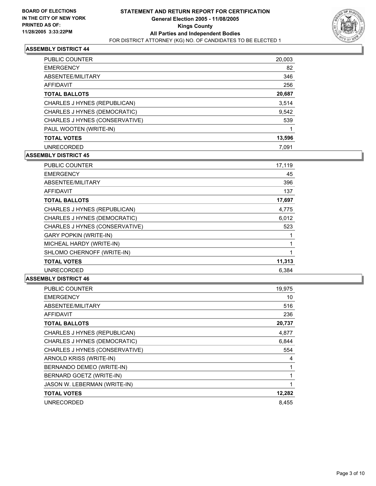

| <b>PUBLIC COUNTER</b>          | 20,003 |
|--------------------------------|--------|
| <b>EMERGENCY</b>               | 82     |
| ABSENTEE/MILITARY              | 346    |
| AFFIDAVIT                      | 256    |
| <b>TOTAL BALLOTS</b>           | 20,687 |
| CHARLES J HYNES (REPUBLICAN)   | 3,514  |
| CHARLES J HYNES (DEMOCRATIC)   | 9,542  |
| CHARLES J HYNES (CONSERVATIVE) | 539    |
| PAUL WOOTEN (WRITE-IN)         |        |
| <b>TOTAL VOTES</b>             | 13,596 |
| <b>UNRECORDED</b>              | 7.091  |

## **ASSEMBLY DISTRICT 45**

| PUBLIC COUNTER                 | 17,119 |  |
|--------------------------------|--------|--|
| <b>EMERGENCY</b>               | 45     |  |
| ABSENTEE/MILITARY              | 396    |  |
| AFFIDAVIT                      | 137    |  |
| <b>TOTAL BALLOTS</b>           | 17,697 |  |
| CHARLES J HYNES (REPUBLICAN)   | 4,775  |  |
| CHARLES J HYNES (DEMOCRATIC)   | 6,012  |  |
| CHARLES J HYNES (CONSERVATIVE) | 523    |  |
| <b>GARY POPKIN (WRITE-IN)</b>  |        |  |
| MICHEAL HARDY (WRITE-IN)       |        |  |
| SHLOMO CHERNOFF (WRITE-IN)     |        |  |
| <b>TOTAL VOTES</b>             | 11,313 |  |
| <b>UNRECORDED</b>              | 6.384  |  |

| PUBLIC COUNTER                 | 19,975 |
|--------------------------------|--------|
| <b>EMERGENCY</b>               | 10     |
| ABSENTEE/MILITARY              | 516    |
| <b>AFFIDAVIT</b>               | 236    |
| <b>TOTAL BALLOTS</b>           | 20,737 |
| CHARLES J HYNES (REPUBLICAN)   | 4,877  |
| CHARLES J HYNES (DEMOCRATIC)   | 6,844  |
| CHARLES J HYNES (CONSERVATIVE) | 554    |
| ARNOLD KRISS (WRITE-IN)        | 4      |
| BERNANDO DEMEO (WRITE-IN)      |        |
| BERNARD GOETZ (WRITE-IN)       |        |
| JASON W. LEBERMAN (WRITE-IN)   |        |
| <b>TOTAL VOTES</b>             | 12,282 |
| <b>UNRECORDED</b>              | 8.455  |
|                                |        |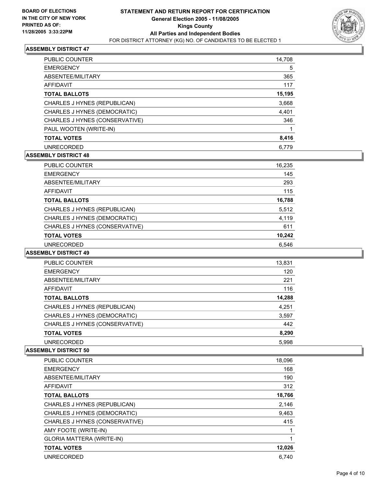

| <b>PUBLIC COUNTER</b>          | 14,708 |
|--------------------------------|--------|
| <b>EMERGENCY</b>               | 5      |
| ABSENTEE/MILITARY              | 365    |
| <b>AFFIDAVIT</b>               | 117    |
| <b>TOTAL BALLOTS</b>           | 15,195 |
| CHARLES J HYNES (REPUBLICAN)   | 3,668  |
| CHARLES J HYNES (DEMOCRATIC)   | 4,401  |
| CHARLES J HYNES (CONSERVATIVE) | 346    |
| PAUL WOOTEN (WRITE-IN)         |        |
| <b>TOTAL VOTES</b>             | 8,416  |
| <b>UNRECORDED</b>              | 6,779  |

## **ASSEMBLY DISTRICT 48**

| PUBLIC COUNTER                 | 16,235 |
|--------------------------------|--------|
| <b>EMERGENCY</b>               | 145    |
| ABSENTEE/MILITARY              | 293    |
| AFFIDAVIT                      | 115    |
| <b>TOTAL BALLOTS</b>           | 16,788 |
| CHARLES J HYNES (REPUBLICAN)   | 5,512  |
| CHARLES J HYNES (DEMOCRATIC)   | 4,119  |
| CHARLES J HYNES (CONSERVATIVE) | 611    |
| <b>TOTAL VOTES</b>             | 10,242 |
| <b>UNRECORDED</b>              | 6,546  |

## **ASSEMBLY DISTRICT 49**

| <b>PUBLIC COUNTER</b>          | 13,831 |  |
|--------------------------------|--------|--|
| <b>EMERGENCY</b>               | 120    |  |
| ABSENTEE/MILITARY              | 221    |  |
| AFFIDAVIT                      | 116    |  |
| <b>TOTAL BALLOTS</b>           | 14,288 |  |
| CHARLES J HYNES (REPUBLICAN)   | 4,251  |  |
| CHARLES J HYNES (DEMOCRATIC)   | 3,597  |  |
| CHARLES J HYNES (CONSERVATIVE) | 442    |  |
| <b>TOTAL VOTES</b>             | 8,290  |  |
| <b>UNRECORDED</b>              | 5.998  |  |

| <b>PUBLIC COUNTER</b>            | 18,096 |
|----------------------------------|--------|
| <b>EMERGENCY</b>                 | 168    |
| ABSENTEE/MILITARY                | 190    |
| AFFIDAVIT                        | 312    |
| <b>TOTAL BALLOTS</b>             | 18,766 |
| CHARLES J HYNES (REPUBLICAN)     | 2,146  |
| CHARLES J HYNES (DEMOCRATIC)     | 9,463  |
| CHARLES J HYNES (CONSERVATIVE)   | 415    |
| AMY FOOTE (WRITE-IN)             |        |
| <b>GLORIA MATTERA (WRITE-IN)</b> |        |
| <b>TOTAL VOTES</b>               | 12,026 |
| <b>UNRECORDED</b>                | 6.740  |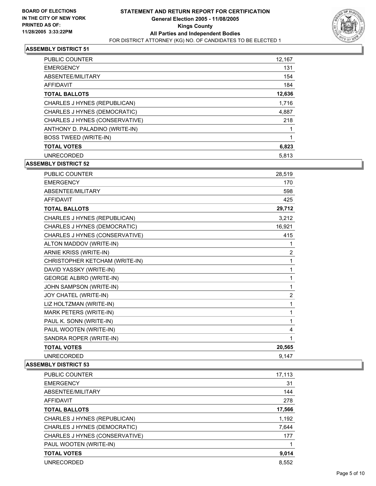

| <b>PUBLIC COUNTER</b>          | 12,167 |
|--------------------------------|--------|
| <b>EMERGENCY</b>               | 131    |
| ABSENTEE/MILITARY              | 154    |
| <b>AFFIDAVIT</b>               | 184    |
| <b>TOTAL BALLOTS</b>           | 12,636 |
| CHARLES J HYNES (REPUBLICAN)   | 1,716  |
| CHARLES J HYNES (DEMOCRATIC)   | 4,887  |
| CHARLES J HYNES (CONSERVATIVE) | 218    |
| ANTHONY D. PALADINO (WRITE-IN) |        |
| <b>BOSS TWEED (WRITE-IN)</b>   |        |
| <b>TOTAL VOTES</b>             | 6,823  |
| <b>UNRECORDED</b>              | 5,813  |

**ASSEMBLY DISTRICT 52**

| <b>PUBLIC COUNTER</b>          | 28,519 |
|--------------------------------|--------|
| <b>EMERGENCY</b>               | 170    |
| ABSENTEE/MILITARY              | 598    |
| <b>AFFIDAVIT</b>               | 425    |
| <b>TOTAL BALLOTS</b>           | 29,712 |
| CHARLES J HYNES (REPUBLICAN)   | 3,212  |
| CHARLES J HYNES (DEMOCRATIC)   | 16,921 |
| CHARLES J HYNES (CONSERVATIVE) | 415    |
| ALTON MADDOV (WRITE-IN)        | 1      |
| ARNIE KRISS (WRITE-IN)         | 2      |
| CHRISTOPHER KETCHAM (WRITE-IN) | 1      |
| DAVID YASSKY (WRITE-IN)        | 1      |
| <b>GEORGE ALBRO (WRITE-IN)</b> | 1      |
| JOHN SAMPSON (WRITE-IN)        | 1      |
| JOY CHATEL (WRITE-IN)          | 2      |
| LIZ HOLTZMAN (WRITE-IN)        | 1      |
| MARK PETERS (WRITE-IN)         | 1      |
| PAUL K. SONN (WRITE-IN)        | 1      |
| PAUL WOOTEN (WRITE-IN)         | 4      |
| SANDRA ROPER (WRITE-IN)        | 1      |
| <b>TOTAL VOTES</b>             | 20,565 |
| <b>UNRECORDED</b>              | 9,147  |

| <b>PUBLIC COUNTER</b>          | 17,113 |
|--------------------------------|--------|
| <b>EMERGENCY</b>               | 31     |
| ABSENTEE/MILITARY              | 144    |
| AFFIDAVIT                      | 278    |
| <b>TOTAL BALLOTS</b>           | 17,566 |
| CHARLES J HYNES (REPUBLICAN)   | 1,192  |
| CHARLES J HYNES (DEMOCRATIC)   | 7,644  |
| CHARLES J HYNES (CONSERVATIVE) | 177    |
| PAUL WOOTEN (WRITE-IN)         |        |
| <b>TOTAL VOTES</b>             | 9,014  |
| <b>UNRECORDED</b>              | 8.552  |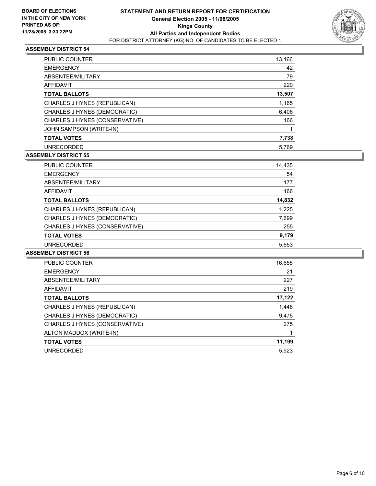

| <b>PUBLIC COUNTER</b>          | 13,166 |
|--------------------------------|--------|
| <b>EMERGENCY</b>               | 42     |
| ABSENTEE/MILITARY              | 79     |
| AFFIDAVIT                      | 220    |
| <b>TOTAL BALLOTS</b>           | 13,507 |
| CHARLES J HYNES (REPUBLICAN)   | 1,165  |
| CHARLES J HYNES (DEMOCRATIC)   | 6,406  |
| CHARLES J HYNES (CONSERVATIVE) | 166    |
| JOHN SAMPSON (WRITE-IN)        |        |
| <b>TOTAL VOTES</b>             | 7,738  |
| <b>UNRECORDED</b>              | 5.769  |

## **ASSEMBLY DISTRICT 55**

| PUBLIC COUNTER                 | 14,435 |  |
|--------------------------------|--------|--|
| <b>EMERGENCY</b>               | 54     |  |
| ABSENTEE/MILITARY              | 177    |  |
| AFFIDAVIT                      | 166    |  |
| <b>TOTAL BALLOTS</b>           | 14,832 |  |
| CHARLES J HYNES (REPUBLICAN)   | 1,225  |  |
| CHARLES J HYNES (DEMOCRATIC)   | 7,699  |  |
| CHARLES J HYNES (CONSERVATIVE) | 255    |  |
| <b>TOTAL VOTES</b>             | 9,179  |  |
| <b>UNRECORDED</b>              | 5,653  |  |

| PUBLIC COUNTER                 | 16,655 |
|--------------------------------|--------|
| <b>EMERGENCY</b>               | 21     |
| ABSENTEE/MILITARY              | 227    |
| AFFIDAVIT                      | 219    |
| <b>TOTAL BALLOTS</b>           | 17,122 |
| CHARLES J HYNES (REPUBLICAN)   | 1,448  |
| CHARLES J HYNES (DEMOCRATIC)   | 9,475  |
| CHARLES J HYNES (CONSERVATIVE) | 275    |
| ALTON MADDOX (WRITE-IN)        |        |
| <b>TOTAL VOTES</b>             | 11,199 |
| <b>UNRECORDED</b>              | 5.923  |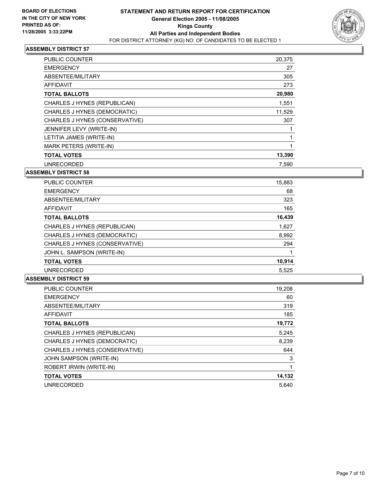

| <b>PUBLIC COUNTER</b>          | 20,375 |  |
|--------------------------------|--------|--|
| <b>EMERGENCY</b>               | 27     |  |
| ABSENTEE/MILITARY              | 305    |  |
| <b>AFFIDAVIT</b>               | 273    |  |
| <b>TOTAL BALLOTS</b>           | 20,980 |  |
| CHARLES J HYNES (REPUBLICAN)   | 1,551  |  |
| CHARLES J HYNES (DEMOCRATIC)   | 11,529 |  |
| CHARLES J HYNES (CONSERVATIVE) | 307    |  |
| JENNIFER LEVY (WRITE-IN)       |        |  |
| LETITIA JAMES (WRITE-IN)       |        |  |
| <b>MARK PETERS (WRITE-IN)</b>  |        |  |
| <b>TOTAL VOTES</b>             | 13,390 |  |
| <b>UNRECORDED</b>              | 7.590  |  |

#### **ASSEMBLY DISTRICT 58**

| PUBLIC COUNTER                 | 15,883 |
|--------------------------------|--------|
| <b>EMERGENCY</b>               | 68     |
| ABSENTEE/MILITARY              | 323    |
| AFFIDAVIT                      | 165    |
| <b>TOTAL BALLOTS</b>           | 16,439 |
| CHARLES J HYNES (REPUBLICAN)   | 1,627  |
| CHARLES J HYNES (DEMOCRATIC)   | 8,992  |
| CHARLES J HYNES (CONSERVATIVE) | 294    |
| JOHN L. SAMPSON (WRITE-IN)     |        |
| <b>TOTAL VOTES</b>             | 10,914 |
| <b>UNRECORDED</b>              | 5,525  |

| <b>PUBLIC COUNTER</b>          | 19,208 |
|--------------------------------|--------|
| <b>EMERGENCY</b>               | 60     |
| ABSENTEE/MILITARY              | 319    |
| <b>AFFIDAVIT</b>               | 185    |
| <b>TOTAL BALLOTS</b>           | 19,772 |
| CHARLES J HYNES (REPUBLICAN)   | 5,245  |
| CHARLES J HYNES (DEMOCRATIC)   | 8,239  |
| CHARLES J HYNES (CONSERVATIVE) | 644    |
| JOHN SAMPSON (WRITE-IN)        | 3      |
| ROBERT IRWIN (WRITE-IN)        |        |
| <b>TOTAL VOTES</b>             | 14,132 |
| <b>UNRECORDED</b>              | 5.640  |
|                                |        |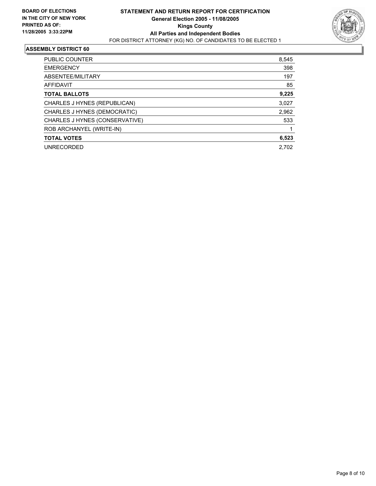

| PUBLIC COUNTER                 | 8,545 |
|--------------------------------|-------|
| <b>EMERGENCY</b>               | 398   |
| ABSENTEE/MILITARY              | 197   |
| AFFIDAVIT                      | 85    |
| <b>TOTAL BALLOTS</b>           | 9,225 |
| CHARLES J HYNES (REPUBLICAN)   | 3,027 |
| CHARLES J HYNES (DEMOCRATIC)   | 2,962 |
| CHARLES J HYNES (CONSERVATIVE) | 533   |
| ROB ARCHANYEL (WRITE-IN)       |       |
| <b>TOTAL VOTES</b>             | 6,523 |
| <b>UNRECORDED</b>              | 2.702 |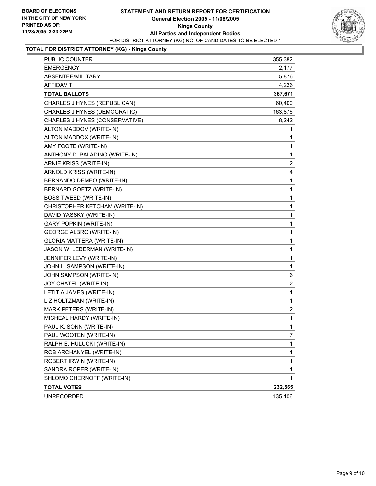## **STATEMENT AND RETURN REPORT FOR CERTIFICATION General Election 2005 - 11/08/2005 Kings County All Parties and Independent Bodies** FOR DISTRICT ATTORNEY (KG) NO. OF CANDIDATES TO BE ELECTED 1



# **TOTAL FOR DISTRICT ATTORNEY (KG) - Kings County**

| PUBLIC COUNTER                 | 355,382                 |
|--------------------------------|-------------------------|
| <b>EMERGENCY</b>               | 2,177                   |
| ABSENTEE/MILITARY              | 5,876                   |
| <b>AFFIDAVIT</b>               | 4,236                   |
| <b>TOTAL BALLOTS</b>           | 367,671                 |
| CHARLES J HYNES (REPUBLICAN)   | 60,400                  |
| CHARLES J HYNES (DEMOCRATIC)   | 163,876                 |
| CHARLES J HYNES (CONSERVATIVE) | 8,242                   |
| ALTON MADDOV (WRITE-IN)        | 1                       |
| ALTON MADDOX (WRITE-IN)        | 1                       |
| AMY FOOTE (WRITE-IN)           | 1                       |
| ANTHONY D. PALADINO (WRITE-IN) | $\mathbf{1}$            |
| ARNIE KRISS (WRITE-IN)         | $\overline{c}$          |
| ARNOLD KRISS (WRITE-IN)        | 4                       |
| BERNANDO DEMEO (WRITE-IN)      | 1                       |
| BERNARD GOETZ (WRITE-IN)       | 1                       |
| <b>BOSS TWEED (WRITE-IN)</b>   | 1                       |
| CHRISTOPHER KETCHAM (WRITE-IN) | 1                       |
| DAVID YASSKY (WRITE-IN)        | 1                       |
| <b>GARY POPKIN (WRITE-IN)</b>  | 1                       |
| GEORGE ALBRO (WRITE-IN)        | 1                       |
| GLORIA MATTERA (WRITE-IN)      | 1                       |
| JASON W. LEBERMAN (WRITE-IN)   | 1                       |
| JENNIFER LEVY (WRITE-IN)       | 1                       |
| JOHN L. SAMPSON (WRITE-IN)     | $\mathbf 1$             |
| JOHN SAMPSON (WRITE-IN)        | 6                       |
| JOY CHATEL (WRITE-IN)          | $\overline{\mathbf{c}}$ |
| LETITIA JAMES (WRITE-IN)       | $\mathbf 1$             |
| LIZ HOLTZMAN (WRITE-IN)        | 1                       |
| MARK PETERS (WRITE-IN)         | $\overline{\mathbf{c}}$ |
| MICHEAL HARDY (WRITE-IN)       | $\mathbf 1$             |
| PAUL K. SONN (WRITE-IN)        | 1                       |
| PAUL WOOTEN (WRITE-IN)         | 7                       |
| RALPH E. HULUCKI (WRITE-IN)    | 1                       |
| ROB ARCHANYEL (WRITE-IN)       | 1                       |
| ROBERT IRWIN (WRITE-IN)        | 1                       |
| SANDRA ROPER (WRITE-IN)        | 1                       |
| SHLOMO CHERNOFF (WRITE-IN)     | 1                       |
| <b>TOTAL VOTES</b>             | 232,565                 |
| <b>UNRECORDED</b>              | 135,106                 |
|                                |                         |